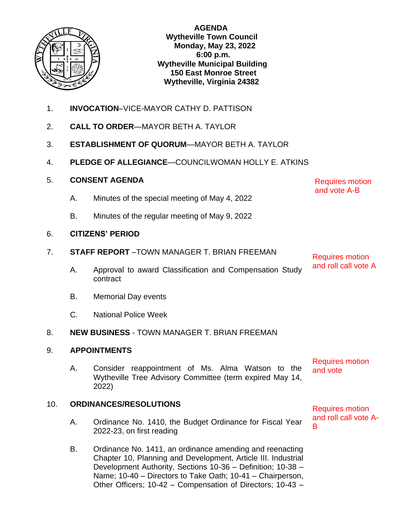

**AGENDA Wytheville Town Council Monday, May 23, 2022 6:00 p.m. Wytheville Municipal Building 150 East Monroe Street Wytheville, Virginia 24382**

- 1. **INVOCATION**–VICE-MAYOR CATHY D. PATTISON
- 2. **CALL TO ORDER**—MAYOR BETH A. TAYLOR
- 3. **ESTABLISHMENT OF QUORUM**—MAYOR BETH A. TAYLOR
- 4. **PLEDGE OF ALLEGIANCE**—COUNCILWOMAN HOLLY E. ATKINS
- 5. **CONSENT AGENDA**
	- A. Minutes of the special meeting of May 4, 2022
	- B. Minutes of the regular meeting of May 9, 2022

## 6. **CITIZENS' PERIOD**

- 7. **STAFF REPORT** –TOWN MANAGER T. BRIAN FREEMAN
	- A. Approval to award Classification and Compensation Study contract
	- B. Memorial Day events
	- C. National Police Week

## 8. **NEW BUSINESS** - TOWN MANAGER T. BRIAN FREEMAN

## 9. **APPOINTMENTS**

A. Consider reappointment of Ms. Alma Watson to the Wytheville Tree Advisory Committee (term expired May 14, 2022)

# 10. **ORDINANCES/RESOLUTIONS**

- A. Ordinance No. 1410, the Budget Ordinance for Fiscal Year 2022-23, on first reading
- B. Ordinance No. 1411, an ordinance amending and reenacting Chapter 10, Planning and Development, Article III. Industrial Development Authority, Sections 10-36 – Definition; 10-38 – Name; 10-40 – Directors to Take Oath; 10-41 – Chairperson, Other Officers; 10-42 – Compensation of Directors; 10-43 –

Requires motion

and roll call vote A

Requires motion and vote A-B

Requires motion and vote

Requires motion and roll call vote A-B